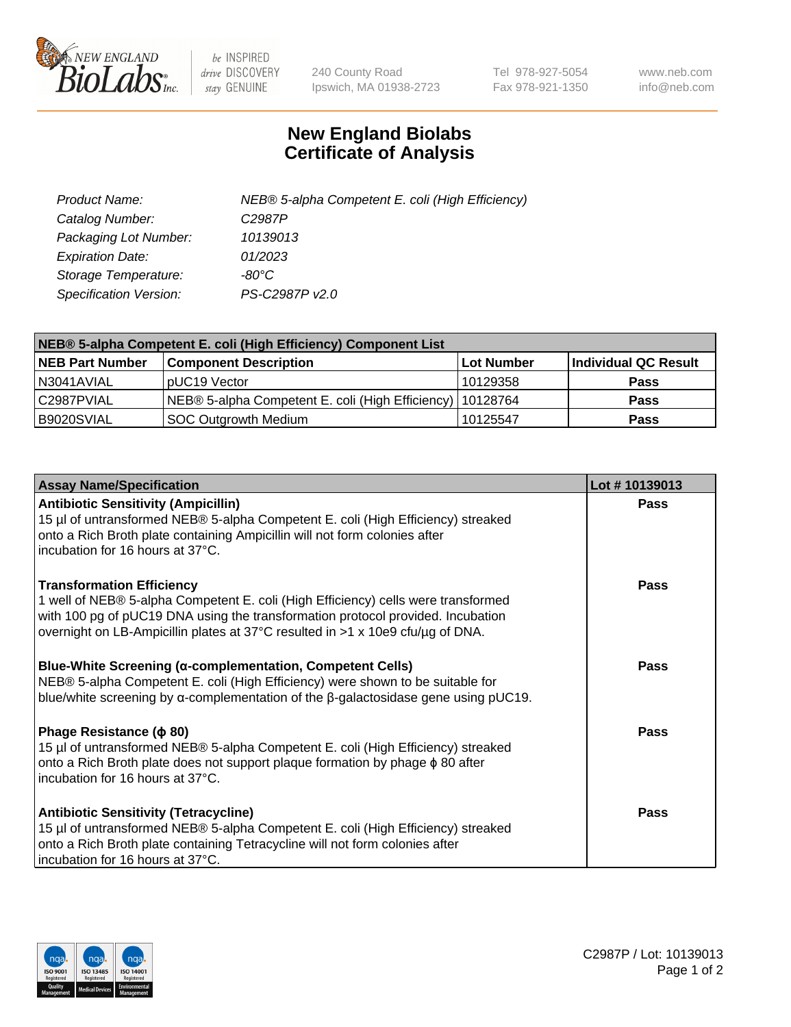

 $be$  INSPIRED drive DISCOVERY stay GENUINE

240 County Road Ipswich, MA 01938-2723 Tel 978-927-5054 Fax 978-921-1350 www.neb.com info@neb.com

## **New England Biolabs Certificate of Analysis**

| Product Name:           | NEB® 5-alpha Competent E. coli (High Efficiency) |
|-------------------------|--------------------------------------------------|
| Catalog Number:         | C <sub>2987</sub> P                              |
| Packaging Lot Number:   | 10139013                                         |
| <b>Expiration Date:</b> | 01/2023                                          |
| Storage Temperature:    | -80°C                                            |
| Specification Version:  | PS-C2987P v2.0                                   |

| NEB® 5-alpha Competent E. coli (High Efficiency) Component List |                                                             |            |                      |  |
|-----------------------------------------------------------------|-------------------------------------------------------------|------------|----------------------|--|
| <b>NEB Part Number</b>                                          | <b>Component Description</b>                                | Lot Number | Individual QC Result |  |
| N3041AVIAL                                                      | pUC19 Vector                                                | 10129358   | <b>Pass</b>          |  |
| C2987PVIAL                                                      | NEB® 5-alpha Competent E. coli (High Efficiency)   10128764 |            | <b>Pass</b>          |  |
| B9020SVIAL                                                      | SOC Outgrowth Medium                                        | 10125547   | <b>Pass</b>          |  |

| <b>Assay Name/Specification</b>                                                                                                                                                                                                                        | Lot #10139013 |
|--------------------------------------------------------------------------------------------------------------------------------------------------------------------------------------------------------------------------------------------------------|---------------|
| <b>Antibiotic Sensitivity (Ampicillin)</b>                                                                                                                                                                                                             | Pass          |
| 15 µl of untransformed NEB® 5-alpha Competent E. coli (High Efficiency) streaked<br>onto a Rich Broth plate containing Ampicillin will not form colonies after<br>incubation for 16 hours at 37°C.                                                     |               |
| <b>Transformation Efficiency</b>                                                                                                                                                                                                                       | Pass          |
| 1 well of NEB® 5-alpha Competent E. coli (High Efficiency) cells were transformed<br>with 100 pg of pUC19 DNA using the transformation protocol provided. Incubation<br>overnight on LB-Ampicillin plates at 37°C resulted in >1 x 10e9 cfu/µg of DNA. |               |
| Blue-White Screening (α-complementation, Competent Cells)<br>NEB® 5-alpha Competent E. coli (High Efficiency) were shown to be suitable for<br>blue/white screening by $\alpha$ -complementation of the $\beta$ -galactosidase gene using pUC19.       | <b>Pass</b>   |
| Phage Resistance ( $\phi$ 80)                                                                                                                                                                                                                          | Pass          |
| 15 µl of untransformed NEB® 5-alpha Competent E. coli (High Efficiency) streaked<br>onto a Rich Broth plate does not support plaque formation by phage $\phi$ 80 after                                                                                 |               |
| incubation for 16 hours at 37°C.                                                                                                                                                                                                                       |               |
| <b>Antibiotic Sensitivity (Tetracycline)</b>                                                                                                                                                                                                           | Pass          |
| 15 µl of untransformed NEB® 5-alpha Competent E. coli (High Efficiency) streaked<br>onto a Rich Broth plate containing Tetracycline will not form colonies after                                                                                       |               |
| incubation for 16 hours at 37°C.                                                                                                                                                                                                                       |               |